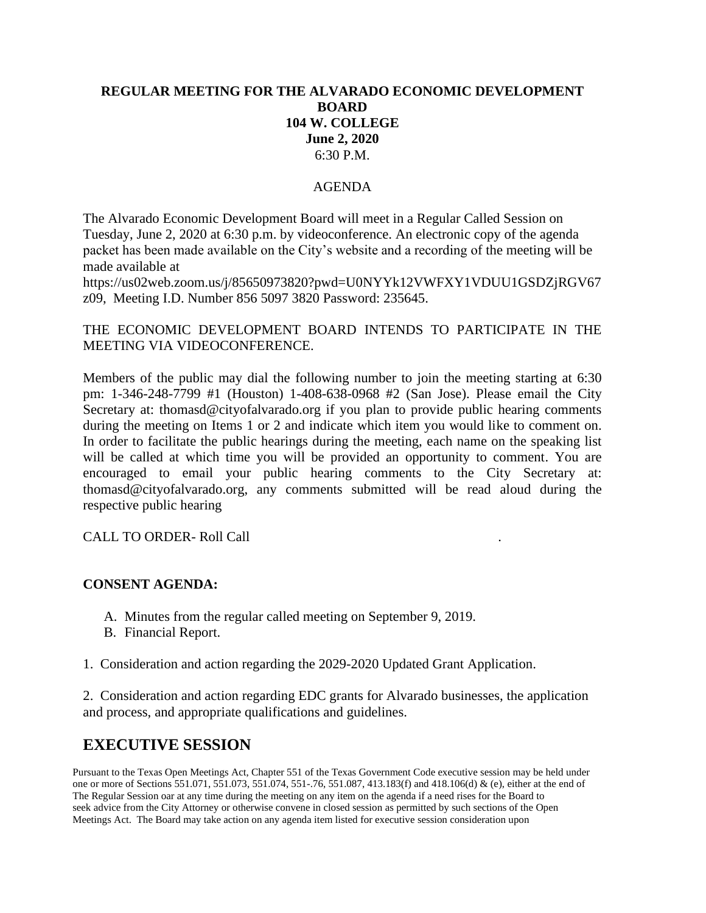# **REGULAR MEETING FOR THE ALVARADO ECONOMIC DEVELOPMENT BOARD 104 W. COLLEGE June 2, 2020** 6:30 P.M.

### AGENDA

The Alvarado Economic Development Board will meet in a Regular Called Session on Tuesday, June 2, 2020 at 6:30 p.m. by videoconference. An electronic copy of the agenda packet has been made available on the City's website and a recording of the meeting will be made available at

https://us02web.zoom.us/j/85650973820?pwd=U0NYYk12VWFXY1VDUU1GSDZjRGV67 z09, Meeting I.D. Number 856 5097 3820 Password: 235645.

## THE ECONOMIC DEVELOPMENT BOARD INTENDS TO PARTICIPATE IN THE MEETING VIA VIDEOCONFERENCE.

Members of the public may dial the following number to join the meeting starting at 6:30 pm: 1-346-248-7799 #1 (Houston) 1-408-638-0968 #2 (San Jose). Please email the City Secretary at: thomasd@cityofalvarado.org if you plan to provide public hearing comments during the meeting on Items 1 or 2 and indicate which item you would like to comment on. In order to facilitate the public hearings during the meeting, each name on the speaking list will be called at which time you will be provided an opportunity to comment. You are encouraged to email your public hearing comments to the City Secretary at: thomasd@cityofalvarado.org, any comments submitted will be read aloud during the respective public hearing

CALL TO ORDER- Roll Call .

### **CONSENT AGENDA:**

- A. Minutes from the regular called meeting on September 9, 2019.
- B. Financial Report.
- 1. Consideration and action regarding the 2029-2020 Updated Grant Application.

2. Consideration and action regarding EDC grants for Alvarado businesses, the application and process, and appropriate qualifications and guidelines.

# **EXECUTIVE SESSION**

Pursuant to the Texas Open Meetings Act, Chapter 551 of the Texas Government Code executive session may be held under one or more of Sections 551.071, 551.073, 551.074, 551-.76, 551.087, 413.183(f) and 418.106(d) & (e), either at the end of The Regular Session oar at any time during the meeting on any item on the agenda if a need rises for the Board to seek advice from the City Attorney or otherwise convene in closed session as permitted by such sections of the Open Meetings Act. The Board may take action on any agenda item listed for executive session consideration upon